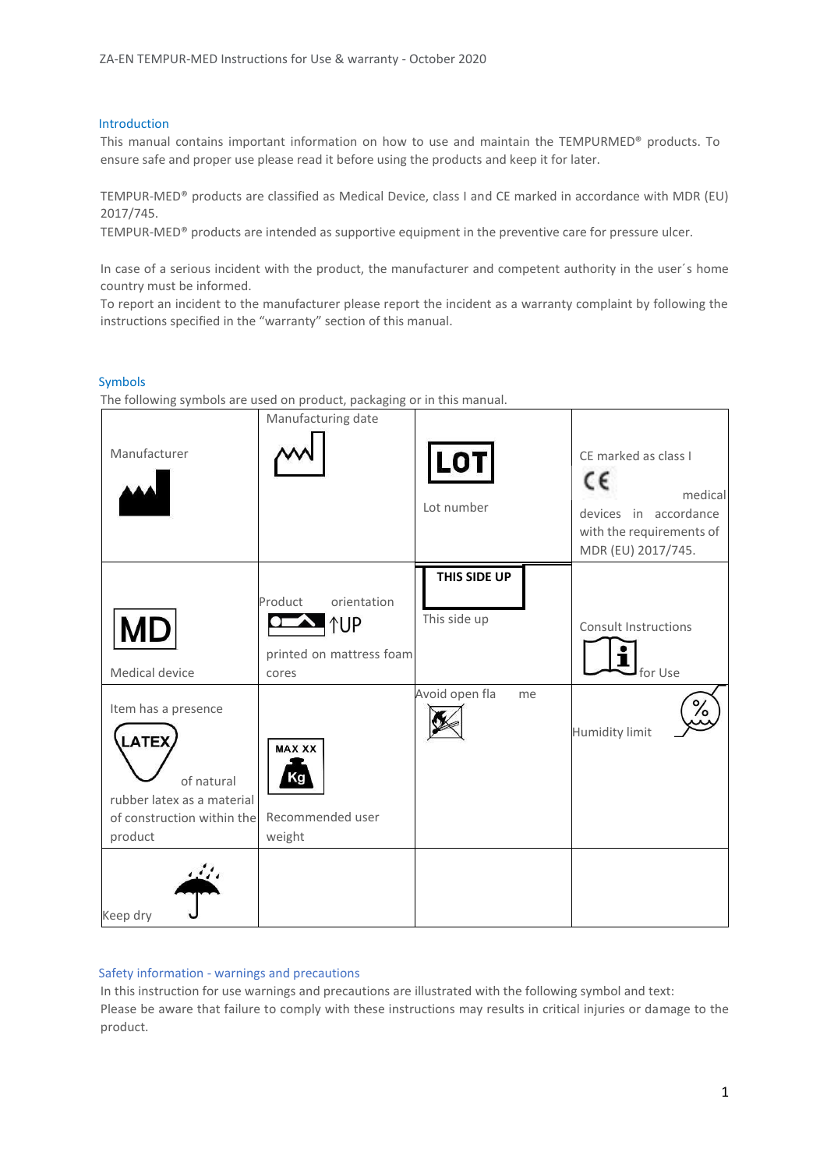#### Introduction

This manual contains important information on how to use and maintain the TEMPURMED® products. To ensure safe and proper use please read it before using the products and keep it for later.

TEMPUR-MED® products are classified as Medical Device, class I and CE marked in accordance with MDR (EU) 2017/745.

TEMPUR-MED® products are intended as supportive equipment in the preventive care for pressure ulcer.

In case of a serious incident with the product, the manufacturer and competent authority in the user´s home country must be informed.

To report an incident to the manufacturer please report the incident as a warranty complaint by following the instructions specified in the "warranty" section of this manual.

#### Symbols

The following symbols are used on product, packaging or in this manual.

| Manufacturer                                                                                                             | Manufacturing date                                                        | <b>LOT</b><br>Lot number     | CE marked as class I<br>c٤<br>medical<br>devices in accordance<br>with the requirements of<br>MDR (EU) 2017/745. |
|--------------------------------------------------------------------------------------------------------------------------|---------------------------------------------------------------------------|------------------------------|------------------------------------------------------------------------------------------------------------------|
| <b>MD</b><br>Medical device                                                                                              | orientation<br>Product<br><b>↑UP</b><br>printed on mattress foam<br>cores | THIS SIDE UP<br>This side up | <b>Consult Instructions</b><br>for Use                                                                           |
| Item has a presence<br><b>LATEX</b><br>of natural<br>rubber latex as a material<br>of construction within the<br>product | <b>MAX XX</b><br>Κa<br>Recommended user<br>weight                         | Avoid open fla<br>me         | ە/<br><b>Humidity limit</b>                                                                                      |
| Keep dry                                                                                                                 |                                                                           |                              |                                                                                                                  |

#### Safety information - warnings and precautions

In this instruction for use warnings and precautions are illustrated with the following symbol and text: Please be aware that failure to comply with these instructions may results in critical injuries or damage to the product.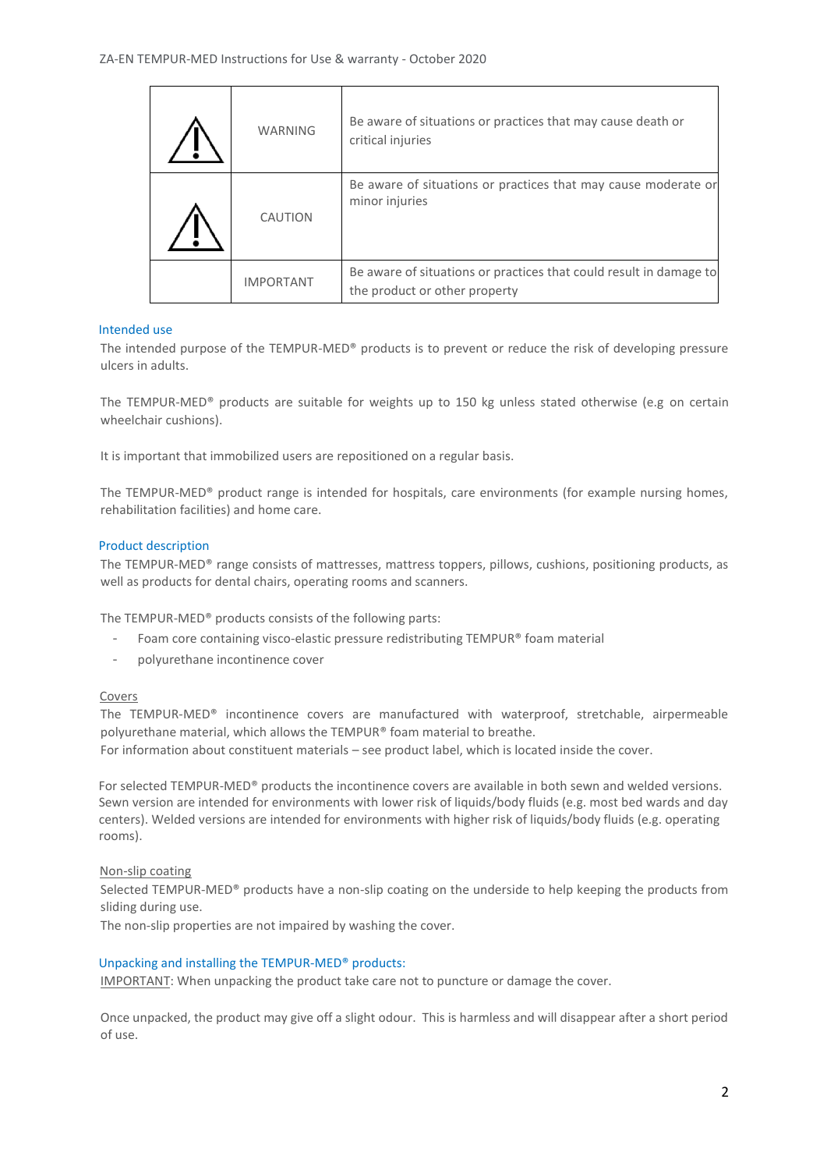| <b>WARNING</b>   | Be aware of situations or practices that may cause death or<br>critical injuries                    |
|------------------|-----------------------------------------------------------------------------------------------------|
| CAUTION          | Be aware of situations or practices that may cause moderate or<br>minor injuries                    |
| <b>IMPORTANT</b> | Be aware of situations or practices that could result in damage to<br>the product or other property |

## Intended use

 $\mathbf{r}$ 

The intended purpose of the TEMPUR-MED® products is to prevent or reduce the risk of developing pressure ulcers in adults.

The TEMPUR-MED® products are suitable for weights up to 150 kg unless stated otherwise (e.g on certain wheelchair cushions).

It is important that immobilized users are repositioned on a regular basis.

The TEMPUR-MED® product range is intended for hospitals, care environments (for example nursing homes, rehabilitation facilities) and home care.

### Product description

The TEMPUR-MED® range consists of mattresses, mattress toppers, pillows, cushions, positioning products, as well as products for dental chairs, operating rooms and scanners.

The TEMPUR-MED® products consists of the following parts:

- Foam core containing visco-elastic pressure redistributing TEMPUR® foam material
- polyurethane incontinence cover

#### Covers

The TEMPUR-MED® incontinence covers are manufactured with waterproof, stretchable, airpermeable polyurethane material, which allows the TEMPUR® foam material to breathe. For information about constituent materials – see product label, which is located inside the cover.

For selected TEMPUR-MED® products the incontinence covers are available in both sewn and welded versions. Sewn version are intended for environments with lower risk of liquids/body fluids (e.g. most bed wards and day centers). Welded versions are intended for environments with higher risk of liquids/body fluids (e.g. operating rooms).

#### Non-slip coating

Selected TEMPUR-MED® products have a non-slip coating on the underside to help keeping the products from sliding during use.

The non-slip properties are not impaired by washing the cover.

## Unpacking and installing the TEMPUR-MED® products:

IMPORTANT: When unpacking the product take care not to puncture or damage the cover.

Once unpacked, the product may give off a slight odour. This is harmless and will disappear after a short period of use.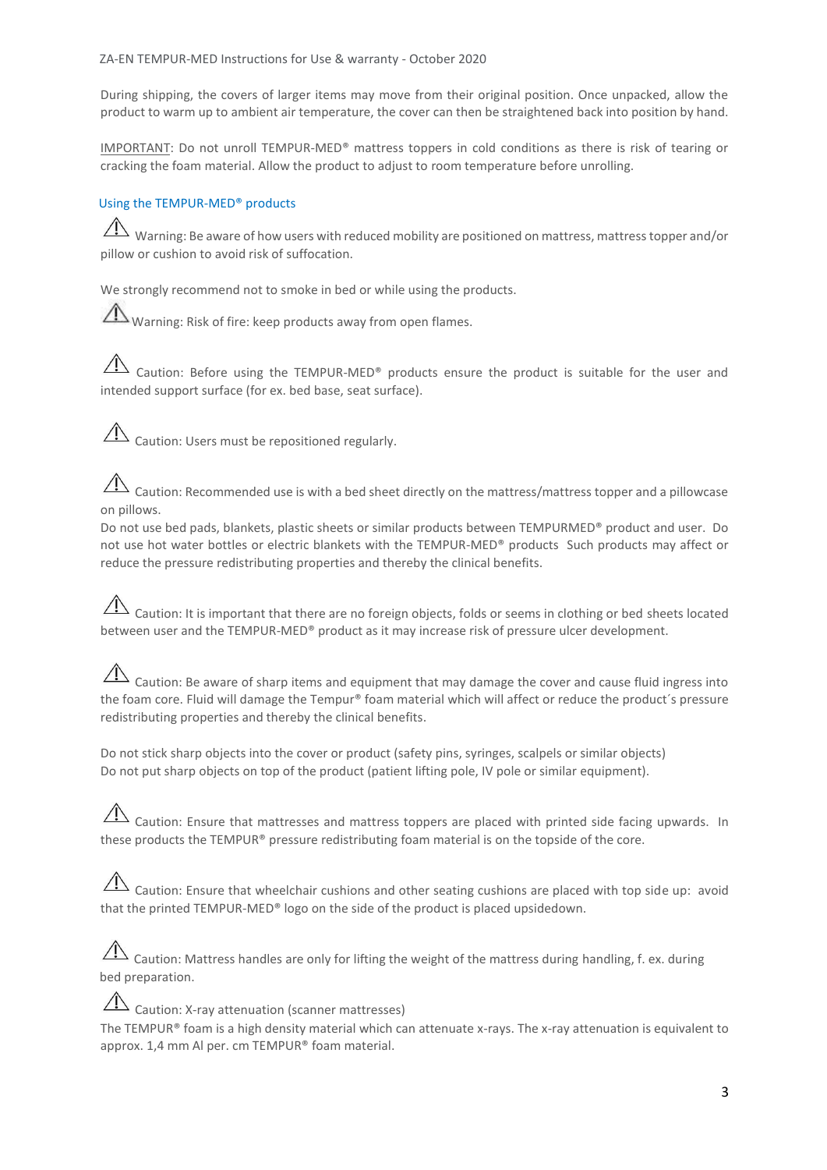During shipping, the covers of larger items may move from their original position. Once unpacked, allow the product to warm up to ambient air temperature, the cover can then be straightened back into position by hand.

IMPORTANT: Do not unroll TEMPUR-MED® mattress toppers in cold conditions as there is risk of tearing or cracking the foam material. Allow the product to adjust to room temperature before unrolling.

## Using the TEMPUR-MED® products

Warning: Be aware of how users with reduced mobility are positioned on mattress, mattress topper and/or pillow or cushion to avoid risk of suffocation.

We strongly recommend not to smoke in bed or while using the products.

Warning: Risk of fire: keep products away from open flames.

 $\overline{\mathcal{A}}$  Caution: Before using the TEMPUR-MED® products ensure the product is suitable for the user and intended support surface (for ex. bed base, seat surface).

 $\overline{\mathcal{A}}$  Caution: Users must be repositioned regularly.

Caution: Recommended use is with a bed sheet directly on the mattress/mattress topper and a pillowcase on pillows.

Do not use bed pads, blankets, plastic sheets or similar products between TEMPURMED® product and user. Do not use hot water bottles or electric blankets with the TEMPUR-MED® products Such products may affect or reduce the pressure redistributing properties and thereby the clinical benefits.

# $\overline{\triangle}$  Caution: It is important that there are no foreign objects, folds or seems in clothing or bed sheets located between user and the TEMPUR-MED® product as it may increase risk of pressure ulcer development.

 $\hat{\triangle}$  Caution: Be aware of sharp items and equipment that may damage the cover and cause fluid ingress into the foam core. Fluid will damage the Tempur® foam material which will affect or reduce the product's pressure redistributing properties and thereby the clinical benefits.

Do not stick sharp objects into the cover or product (safety pins, syringes, scalpels or similar objects) Do not put sharp objects on top of the product (patient lifting pole, IV pole or similar equipment).

 $\sqrt{12}$  Caution: Ensure that mattresses and mattress toppers are placed with printed side facing upwards. In these products the TEMPUR® pressure redistributing foam material is on the topside of the core.

 $\Box$  Caution: Ensure that wheelchair cushions and other seating cushions are placed with top side up: avoid that the printed TEMPUR-MED® logo on the side of the product is placed upsidedown.

 $\hat{A}$  Caution: Mattress handles are only for lifting the weight of the mattress during handling, f. ex. during bed preparation.

 $\overline{\Delta}$  Caution: X-ray attenuation (scanner mattresses) The TEMPUR® foam is a high density material which can attenuate x-rays. The x-ray attenuation is equivalent to approx. 1,4 mm Al per. cm TEMPUR® foam material.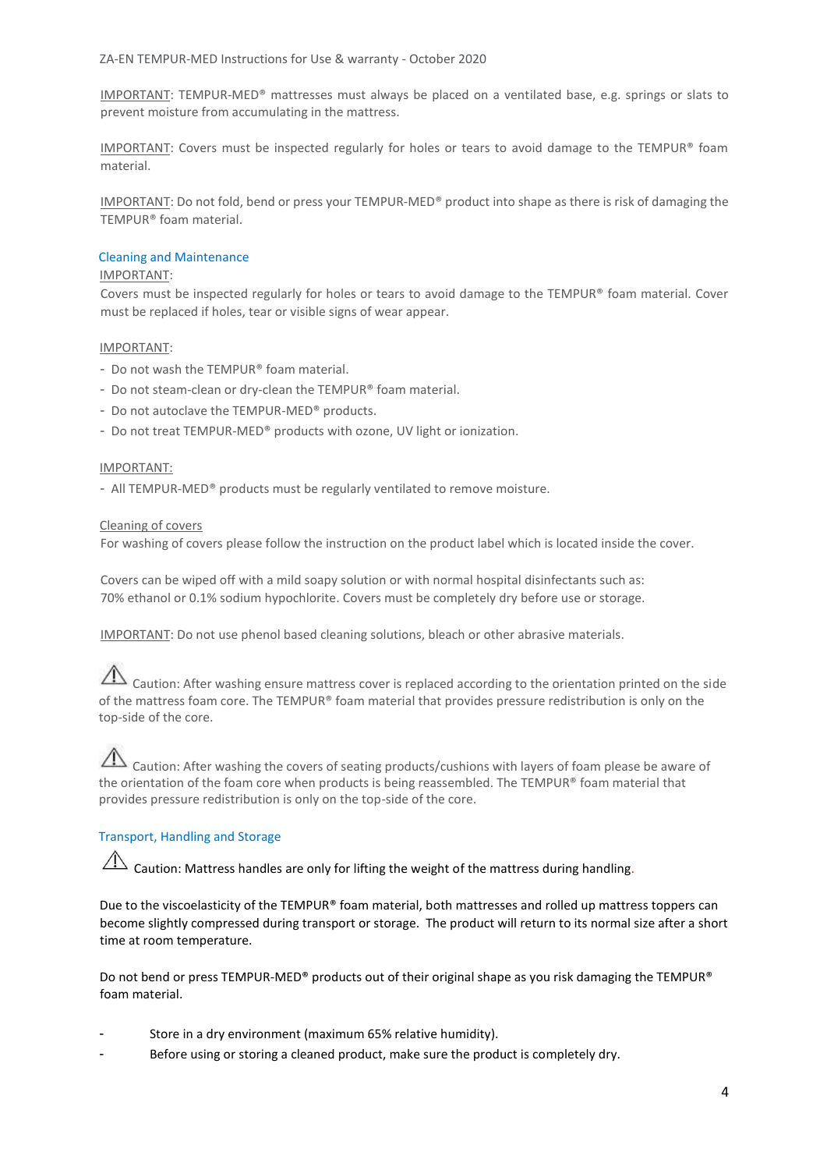IMPORTANT: TEMPUR-MED® mattresses must always be placed on a ventilated base, e.g. springs or slats to prevent moisture from accumulating in the mattress.

IMPORTANT: Covers must be inspected regularly for holes or tears to avoid damage to the TEMPUR® foam material.

IMPORTANT: Do not fold, bend or press your TEMPUR-MED® product into shape as there is risk of damaging the TEMPUR® foam material.

#### Cleaning and Maintenance

#### IMPORTANT:

Covers must be inspected regularly for holes or tears to avoid damage to the TEMPUR® foam material. Cover must be replaced if holes, tear or visible signs of wear appear.

#### IMPORTANT:

- Do not wash the TEMPUR® foam material.
- Do not steam-clean or dry-clean the TEMPUR® foam material.
- Do not autoclave the TEMPUR-MED® products.
- Do not treat TEMPUR-MED® products with ozone, UV light or ionization.

#### IMPORTANT:

- All TEMPUR-MED® products must be regularly ventilated to remove moisture.

#### Cleaning of covers

For washing of covers please follow the instruction on the product label which is located inside the cover.

Covers can be wiped off with a mild soapy solution or with normal hospital disinfectants such as: 70% ethanol or 0.1% sodium hypochlorite. Covers must be completely dry before use or storage.

IMPORTANT: Do not use phenol based cleaning solutions, bleach or other abrasive materials.

 $\triangle$  Caution: After washing ensure mattress cover is replaced according to the orientation printed on the side of the mattress foam core. The TEMPUR® foam material that provides pressure redistribution is only on the top-side of the core.

## Caution: After washing the covers of seating products/cushions with layers of foam please be aware of the orientation of the foam core when products is being reassembled. The TEMPUR® foam material that provides pressure redistribution is only on the top-side of the core.

## Transport, Handling and Storage

 $\hat{\Lambda}$  Caution: Mattress handles are only for lifting the weight of the mattress during handling.

Due to the viscoelasticity of the TEMPUR® foam material, both mattresses and rolled up mattress toppers can become slightly compressed during transport or storage. The product will return to its normal size after a short time at room temperature.

Do not bend or press TEMPUR-MED® products out of their original shape as you risk damaging the TEMPUR® foam material.

- Store in a dry environment (maximum 65% relative humidity).
- Before using or storing a cleaned product, make sure the product is completely dry.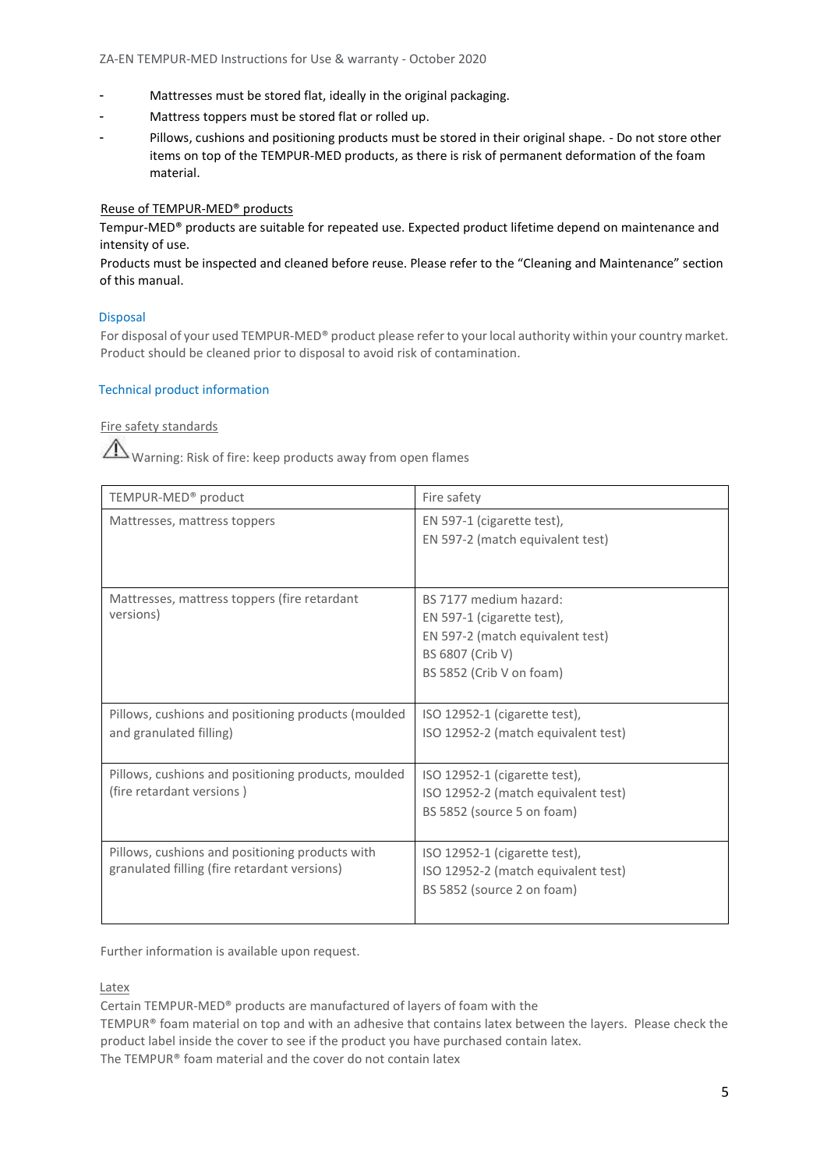- Mattresses must be stored flat, ideally in the original packaging.
- Mattress toppers must be stored flat or rolled up.
- Pillows, cushions and positioning products must be stored in their original shape. Do not store other items on top of the TEMPUR-MED products, as there is risk of permanent deformation of the foam material.

## Reuse of TEMPUR-MED® products

Tempur-MED® products are suitable for repeated use. Expected product lifetime depend on maintenance and intensity of use.

Products must be inspected and cleaned before reuse. Please refer to the "Cleaning and Maintenance" section of this manual.

#### Disposal

For disposal of your used TEMPUR-MED® product please refer to your local authority within your country market. Product should be cleaned prior to disposal to avoid risk of contamination.

#### Technical product information

Fire safety standards

Warning: Risk of fire: keep products away from open flames

| TEMPUR-MED <sup>®</sup> product                                                                 | Fire safety                                                                                                                              |
|-------------------------------------------------------------------------------------------------|------------------------------------------------------------------------------------------------------------------------------------------|
| Mattresses, mattress toppers                                                                    | EN 597-1 (cigarette test),<br>EN 597-2 (match equivalent test)                                                                           |
| Mattresses, mattress toppers (fire retardant<br>versions)                                       | BS 7177 medium hazard:<br>EN 597-1 (cigarette test),<br>EN 597-2 (match equivalent test)<br>BS 6807 (Crib V)<br>BS 5852 (Crib V on foam) |
| Pillows, cushions and positioning products (moulded<br>and granulated filling)                  | ISO 12952-1 (cigarette test),<br>ISO 12952-2 (match equivalent test)                                                                     |
| Pillows, cushions and positioning products, moulded<br>(fire retardant versions)                | ISO 12952-1 (cigarette test),<br>ISO 12952-2 (match equivalent test)<br>BS 5852 (source 5 on foam)                                       |
| Pillows, cushions and positioning products with<br>granulated filling (fire retardant versions) | ISO 12952-1 (cigarette test),<br>ISO 12952-2 (match equivalent test)<br>BS 5852 (source 2 on foam)                                       |

Further information is available upon request.

Latex

Certain TEMPUR-MED® products are manufactured of layers of foam with the

TEMPUR® foam material on top and with an adhesive that contains latex between the layers. Please check the product label inside the cover to see if the product you have purchased contain latex.

The TEMPUR® foam material and the cover do not contain latex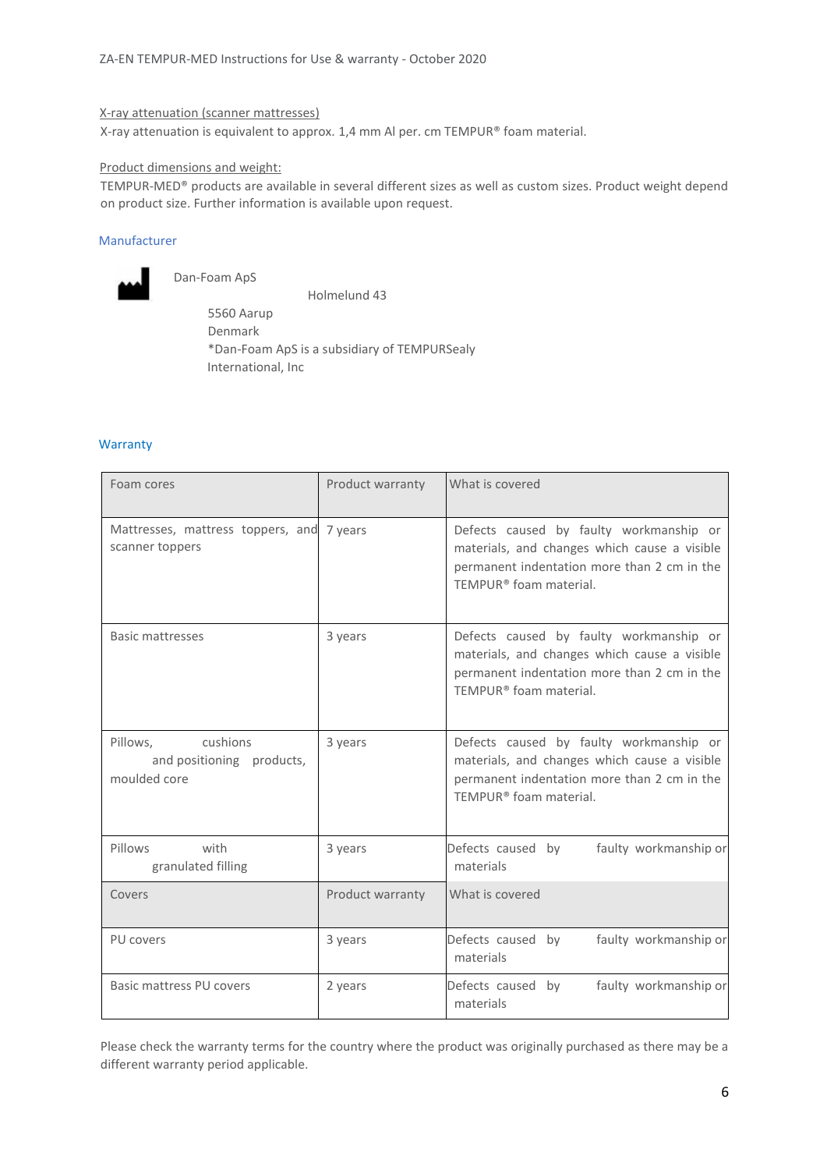#### X-ray attenuation (scanner mattresses)

X-ray attenuation is equivalent to approx. 1,4 mm Al per. cm TEMPUR® foam material.

#### Product dimensions and weight:

TEMPUR-MED® products are available in several different sizes as well as custom sizes. Product weight depend on product size. Further information is available upon request.

## Manufacturer



Dan-Foam ApS

 Holmelund 43 5560 Aarup Denmark \*Dan-Foam ApS is a subsidiary of TEMPURSealy International, Inc

#### **Warranty**

| Foam cores                                                        | Product warranty | What is covered                                                                                                                                                  |
|-------------------------------------------------------------------|------------------|------------------------------------------------------------------------------------------------------------------------------------------------------------------|
| Mattresses, mattress toppers, and 7 years<br>scanner toppers      |                  | Defects caused by faulty workmanship or<br>materials, and changes which cause a visible<br>permanent indentation more than 2 cm in the<br>TEMPUR® foam material. |
| Basic mattresses                                                  | 3 years          | Defects caused by faulty workmanship or<br>materials, and changes which cause a visible<br>permanent indentation more than 2 cm in the<br>TEMPUR® foam material. |
| cushions<br>Pillows.<br>and positioning products,<br>moulded core | 3 years          | Defects caused by faulty workmanship or<br>materials, and changes which cause a visible<br>permanent indentation more than 2 cm in the<br>TEMPUR® foam material. |
| with<br>Pillows<br>granulated filling                             | 3 years          | Defects caused by<br>faulty workmanship or<br>materials                                                                                                          |
| Covers                                                            | Product warranty | What is covered                                                                                                                                                  |
| PU covers                                                         | 3 years          | faulty workmanship or<br>Defects caused by<br>materials                                                                                                          |
| Basic mattress PU covers                                          | 2 years          | faulty workmanship or<br>Defects caused by<br>materials                                                                                                          |

Please check the warranty terms for the country where the product was originally purchased as there may be a different warranty period applicable.